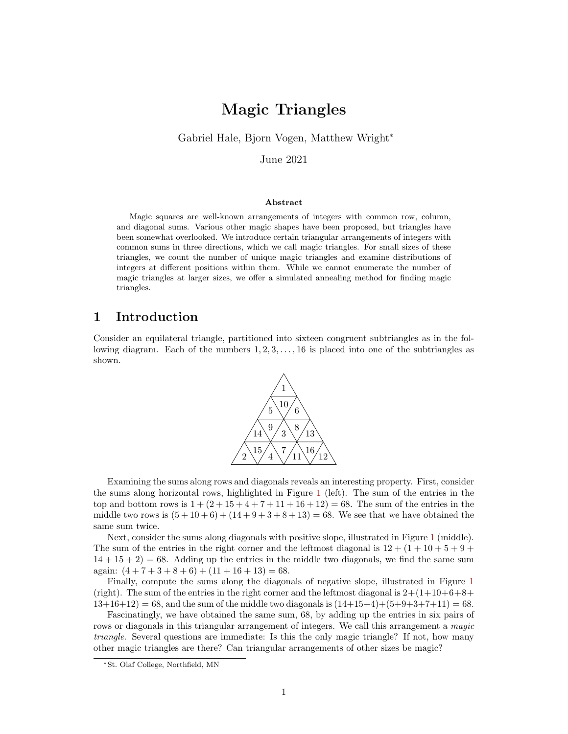# Magic Triangles

Gabriel Hale, Bjorn Vogen, Matthew Wright\*

June 2021

#### Abstract

Magic squares are well-known arrangements of integers with common row, column, and diagonal sums. Various other magic shapes have been proposed, but triangles have been somewhat overlooked. We introduce certain triangular arrangements of integers with common sums in three directions, which we call magic triangles. For small sizes of these triangles, we count the number of unique magic triangles and examine distributions of integers at different positions within them. While we cannot enumerate the number of magic triangles at larger sizes, we offer a simulated annealing method for finding magic triangles.

### 1 Introduction

Consider an equilateral triangle, partitioned into sixteen congruent subtriangles as in the following diagram. Each of the numbers  $1, 2, 3, \ldots, 16$  is placed into one of the subtriangles as shown.



Examining the sums along rows and diagonals reveals an interesting property. First, consider the sums along horizontal rows, highlighted in Figure [1](#page-1-0) (left). The sum of the entries in the top and bottom rows is  $1 + (2 + 15 + 4 + 7 + 11 + 16 + 12) = 68$ . The sum of the entries in the middle two rows is  $(5+10+6) + (14+9+3+8+13) = 68$ . We see that we have obtained the same sum twice.

Next, consider the sums along diagonals with positive slope, illustrated in Figure [1](#page-1-0) (middle). The sum of the entries in the right corner and the leftmost diagonal is  $12 + (1 + 10 + 5 + 9 + 10)$  $14 + 15 + 2 = 68$ . Adding up the entries in the middle two diagonals, we find the same sum again:  $(4+7+3+8+6) + (11+16+13) = 68$ .

Finally, compute the sums along the diagonals of negative slope, illustrated in Figure [1](#page-1-0) (right). The sum of the entries in the right corner and the leftmost diagonal is  $2+(1+10+6+8+1)$  $13+16+12$  = 68, and the sum of the middle two diagonals is  $(14+15+4)+(5+9+3+7+11) = 68$ .

Fascinatingly, we have obtained the same sum, 68, by adding up the entries in six pairs of rows or diagonals in this triangular arrangement of integers. We call this arrangement a magic triangle. Several questions are immediate: Is this the only magic triangle? If not, how many other magic triangles are there? Can triangular arrangements of other sizes be magic?

<sup>\*</sup>St. Olaf College, Northfield, MN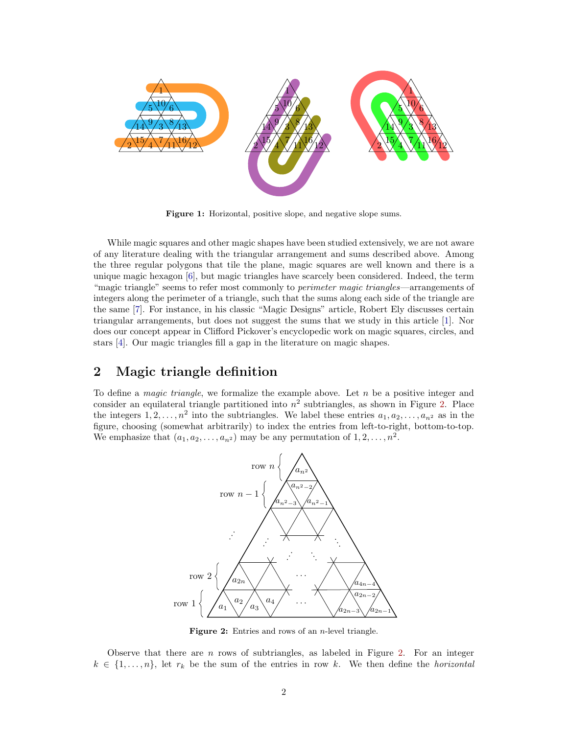<span id="page-1-0"></span>

Figure 1: Horizontal, positive slope, and negative slope sums.

While magic squares and other magic shapes have been studied extensively, we are not aware of any literature dealing with the triangular arrangement and sums described above. Among the three regular polygons that tile the plane, magic squares are well known and there is a unique magic hexagon [\[6\]](#page-7-0), but magic triangles have scarcely been considered. Indeed, the term "magic triangle" seems to refer most commonly to *perimeter magic triangles*—arrangements of integers along the perimeter of a triangle, such that the sums along each side of the triangle are the same [\[7\]](#page-7-1). For instance, in his classic "Magic Designs" article, Robert Ely discusses certain triangular arrangements, but does not suggest the sums that we study in this article [\[1\]](#page-7-2). Nor does our concept appear in Clifford Pickover's encyclopedic work on magic squares, circles, and stars [\[4\]](#page-7-3). Our magic triangles fill a gap in the literature on magic shapes.

### 2 Magic triangle definition

<span id="page-1-1"></span>To define a *magic triangle*, we formalize the example above. Let  $n$  be a positive integer and consider an equilateral triangle partitioned into  $n^2$  subtriangles, as shown in Figure [2.](#page-1-1) Place the integers  $1, 2, \ldots, n^2$  into the subtriangles. We label these entries  $a_1, a_2, \ldots, a_{n^2}$  as in the figure, choosing (somewhat arbitrarily) to index the entries from left-to-right, bottom-to-top. We emphasize that  $(a_1, a_2, \ldots, a_{n^2})$  may be any permutation of  $1, 2, \ldots, n^2$ .



**Figure 2:** Entries and rows of an  $n$ -level triangle.

Observe that there are  $n$  rows of subtriangles, as labeled in Figure [2.](#page-1-1) For an integer  $k \in \{1, \ldots, n\}$ , let  $r_k$  be the sum of the entries in row k. We then define the horizontal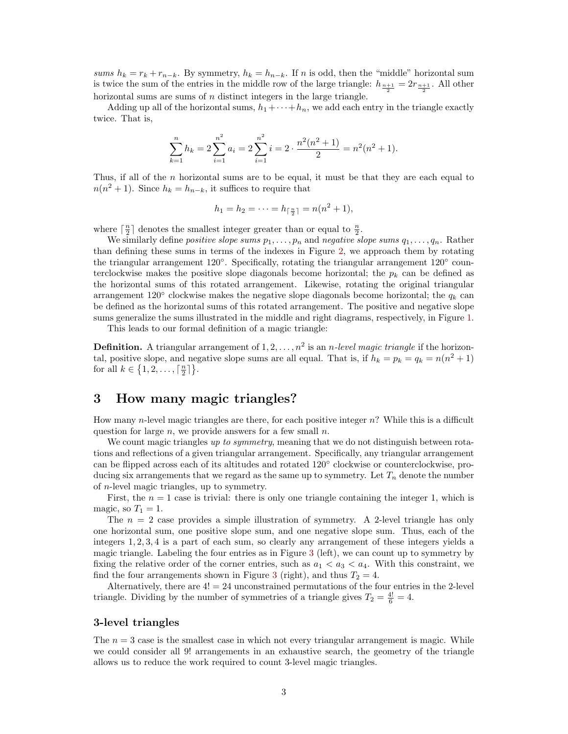sums  $h_k = r_k + r_{n-k}$ . By symmetry,  $h_k = h_{n-k}$ . If n is odd, then the "middle" horizontal sum is twice the sum of the entries in the middle row of the large triangle:  $h_{\frac{n+1}{2}} = 2r_{\frac{n+1}{2}}$ . All other horizontal sums are sums of  $n$  distinct integers in the large triangle.

Adding up all of the horizontal sums,  $h_1 + \cdots + h_n$ , we add each entry in the triangle exactly twice. That is,

$$
\sum_{k=1}^{n} h_k = 2 \sum_{i=1}^{n^2} a_i = 2 \sum_{i=1}^{n^2} i = 2 \cdot \frac{n^2(n^2+1)}{2} = n^2(n^2+1).
$$

Thus, if all of the  $n$  horizontal sums are to be equal, it must be that they are each equal to  $n(n^2+1)$ . Since  $h_k = h_{n-k}$ , it suffices to require that

$$
h_1 = h_2 = \dots = h_{\lceil \frac{n}{2} \rceil} = n(n^2 + 1),
$$

where  $\lceil \frac{n}{2} \rceil$  denotes the smallest integer greater than or equal to  $\frac{n}{2}$ .

We similarly define positive slope sums  $p_1, \ldots, p_n$  and negative slope sums  $q_1, \ldots, q_n$ . Rather than defining these sums in terms of the indexes in Figure [2,](#page-1-1) we approach them by rotating the triangular arrangement 120°. Specifically, rotating the triangular arrangement 120° counterclockwise makes the positive slope diagonals become horizontal; the  $p_k$  can be defined as the horizontal sums of this rotated arrangement. Likewise, rotating the original triangular arrangement 120 $\textdegree$  clockwise makes the negative slope diagonals become horizontal; the  $q_k$  can be defined as the horizontal sums of this rotated arrangement. The positive and negative slope sums generalize the sums illustrated in the middle and right diagrams, respectively, in Figure [1.](#page-1-0)

This leads to our formal definition of a magic triangle:

**Definition.** A triangular arrangement of  $1, 2, ..., n^2$  is an *n*-level magic triangle if the horizontal, positive slope, and negative slope sums are all equal. That is, if  $h_k = p_k = q_k = n(n^2 + 1)$ for all  $k \in \{1, 2, \ldots, \lceil \frac{n}{2} \rceil\}.$ 

### 3 How many magic triangles?

How many *n*-level magic triangles are there, for each positive integer  $n$ ? While this is a difficult question for large  $n$ , we provide answers for a few small  $n$ .

We count magic triangles up to symmetry, meaning that we do not distinguish between rotations and reflections of a given triangular arrangement. Specifically, any triangular arrangement can be flipped across each of its altitudes and rotated 120° clockwise or counterclockwise, producing six arrangements that we regard as the same up to symmetry. Let  $T_n$  denote the number of n-level magic triangles, up to symmetry.

First, the  $n = 1$  case is trivial: there is only one triangle containing the integer 1, which is magic, so  $T_1 = 1$ .

The  $n = 2$  case provides a simple illustration of symmetry. A 2-level triangle has only one horizontal sum, one positive slope sum, and one negative slope sum. Thus, each of the integers 1, 2, 3, 4 is a part of each sum, so clearly any arrangement of these integers yields a magic triangle. Labeling the four entries as in Figure [3](#page-3-0) (left), we can count up to symmetry by fixing the relative order of the corner entries, such as  $a_1 < a_3 < a_4$ . With this constraint, we find the four arrangements shown in Figure [3](#page-3-0) (right), and thus  $T_2 = 4$ .

Alternatively, there are  $4! = 24$  unconstrained permutations of the four entries in the 2-level triangle. Dividing by the number of symmetries of a triangle gives  $T_2 = \frac{4!}{6} = 4$ .

#### 3-level triangles

The  $n = 3$  case is the smallest case in which not every triangular arrangement is magic. While we could consider all 9! arrangements in an exhaustive search, the geometry of the triangle allows us to reduce the work required to count 3-level magic triangles.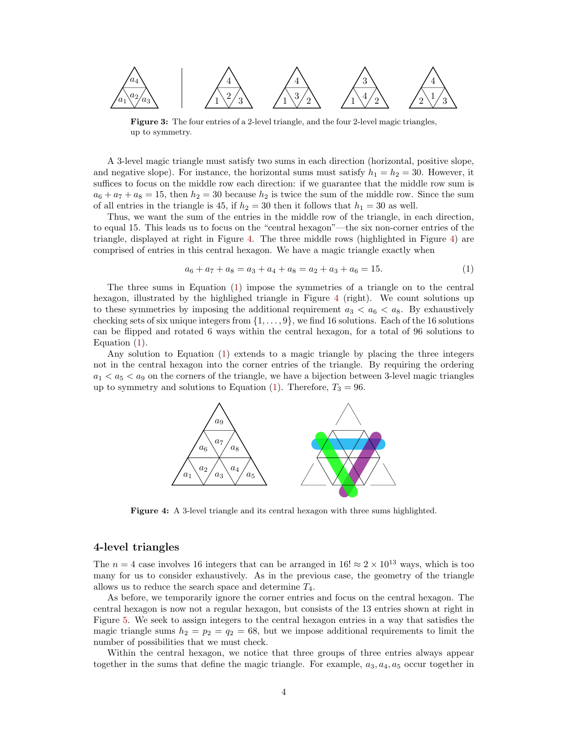<span id="page-3-0"></span>

Figure 3: The four entries of a 2-level triangle, and the four 2-level magic triangles, up to symmetry.

A 3-level magic triangle must satisfy two sums in each direction (horizontal, positive slope, and negative slope). For instance, the horizontal sums must satisfy  $h_1 = h_2 = 30$ . However, it suffices to focus on the middle row each direction: if we guarantee that the middle row sum is  $a_6 + a_7 + a_8 = 15$ , then  $h_2 = 30$  because  $h_2$  is twice the sum of the middle row. Since the sum of all entries in the triangle is 45, if  $h_2 = 30$  then it follows that  $h_1 = 30$  as well.

Thus, we want the sum of the entries in the middle row of the triangle, in each direction, to equal 15. This leads us to focus on the "central hexagon"—the six non-corner entries of the triangle, displayed at right in Figure [4.](#page-3-1) The three middle rows (highlighted in Figure [4\)](#page-3-1) are comprised of entries in this central hexagon. We have a magic triangle exactly when

<span id="page-3-2"></span>
$$
a_6 + a_7 + a_8 = a_3 + a_4 + a_8 = a_2 + a_3 + a_6 = 15.
$$
 (1)

The three sums in Equation [\(1\)](#page-3-2) impose the symmetries of a triangle on to the central hexagon, illustrated by the highlighed triangle in Figure [4](#page-3-1) (right). We count solutions up to these symmetries by imposing the additional requirement  $a_3 < a_6 < a_8$ . By exhaustively checking sets of six unique integers from  $\{1, \ldots, 9\}$ , we find 16 solutions. Each of the 16 solutions can be flipped and rotated 6 ways within the central hexagon, for a total of 96 solutions to Equation [\(1\)](#page-3-2).

<span id="page-3-1"></span>Any solution to Equation [\(1\)](#page-3-2) extends to a magic triangle by placing the three integers not in the central hexagon into the corner entries of the triangle. By requiring the ordering  $a_1 < a_5 < a_9$  on the corners of the triangle, we have a bijection between 3-level magic triangles up to symmetry and solutions to Equation [\(1\)](#page-3-2). Therefore,  $T_3 = 96$ .



Figure 4: A 3-level triangle and its central hexagon with three sums highlighted.

#### 4-level triangles

The  $n = 4$  case involves 16 integers that can be arranged in 16!  $\approx 2 \times 10^{13}$  ways, which is too many for us to consider exhaustively. As in the previous case, the geometry of the triangle allows us to reduce the search space and determine  $T_4$ .

As before, we temporarily ignore the corner entries and focus on the central hexagon. The central hexagon is now not a regular hexagon, but consists of the 13 entries shown at right in Figure [5.](#page-4-0) We seek to assign integers to the central hexagon entries in a way that satisfies the magic triangle sums  $h_2 = p_2 = q_2 = 68$ , but we impose additional requirements to limit the number of possibilities that we must check.

Within the central hexagon, we notice that three groups of three entries always appear together in the sums that define the magic triangle. For example,  $a_3$ ,  $a_4$ ,  $a_5$  occur together in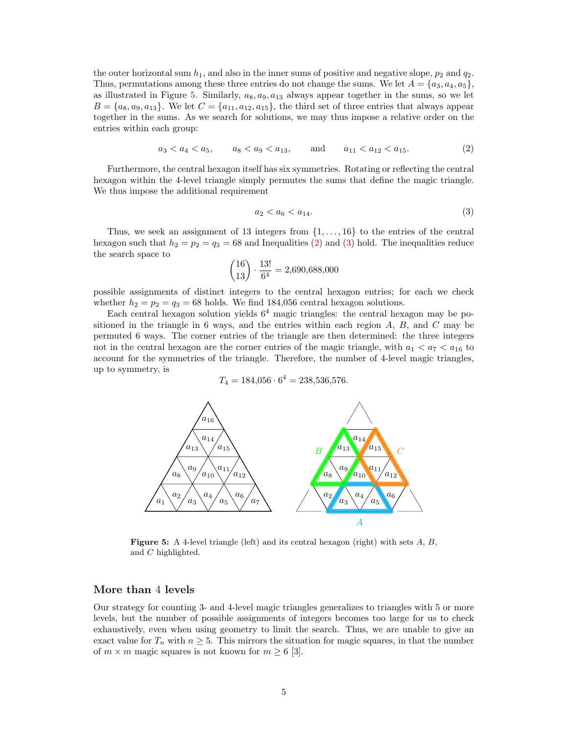the outer horizontal sum  $h_1$ , and also in the inner sums of positive and negative slope,  $p_2$  and  $q_2$ . Thus, permutations among these three entries do not change the sums. We let  $A = \{a_3, a_4, a_5\}$ , as illustrated in Figure [5.](#page-4-0) Similarly,  $a_8, a_9, a_{13}$  always appear together in the sums, so we let  $B = \{a_8, a_9, a_{13}\}.$  We let  $C = \{a_{11}, a_{12}, a_{15}\}.$  the third set of three entries that always appear together in the sums. As we search for solutions, we may thus impose a relative order on the entries within each group:

<span id="page-4-1"></span>
$$
a_3 < a_4 < a_5, \qquad a_8 < a_9 < a_{13}, \qquad \text{and} \qquad a_{11} < a_{12} < a_{15}.\tag{2}
$$

Furthermore, the central hexagon itself has six symmetries. Rotating or reflecting the central hexagon within the 4-level triangle simply permutes the sums that define the magic triangle. We thus impose the additional requirement

<span id="page-4-2"></span>
$$
a_2 < a_6 < a_{14}.\tag{3}
$$

Thus, we seek an assignment of 13 integers from  $\{1, \ldots, 16\}$  to the entries of the central hexagon such that  $h_2 = p_2 = q_3 = 68$  and Inequalities [\(2\)](#page-4-1) and [\(3\)](#page-4-2) hold. The inequalities reduce the search space to

$$
\binom{16}{13} \cdot \frac{13!}{6^4} = 2,690,688,000
$$

possible assignments of distinct integers to the central hexagon entries; for each we check whether  $h_2 = p_2 = q_3 = 68$  holds. We find 184,056 central hexagon solutions.

Each central hexagon solution yields  $6<sup>4</sup>$  magic triangles: the central hexagon may be positioned in the triangle in 6 ways, and the entries within each region  $A, B$ , and  $C$  may be permuted 6 ways. The corner entries of the triangle are then determined: the three integers not in the central hexagon are the corner entries of the magic triangle, with  $a_1 < a_7 < a_{16}$  to account for the symmetries of the triangle. Therefore, the number of 4-level magic triangles, up to symmetry, is

$$
T_4 = 184,056 \cdot 6^4 = 238,536,576.
$$

<span id="page-4-0"></span>

**Figure 5:** A 4-level triangle (left) and its central hexagon (right) with sets  $A, B$ , and C highlighted.

#### More than 4 levels

Our strategy for counting 3- and 4-level magic triangles generalizes to triangles with 5 or more levels, but the number of possible assignments of integers becomes too large for us to check exhaustively, even when using geometry to limit the search. Thus, we are unable to give an exact value for  $T_n$  with  $n \geq 5$ . This mirrors the situation for magic squares, in that the number of  $m \times m$  magic squares is not known for  $m \geq 6$  [\[3\]](#page-7-4).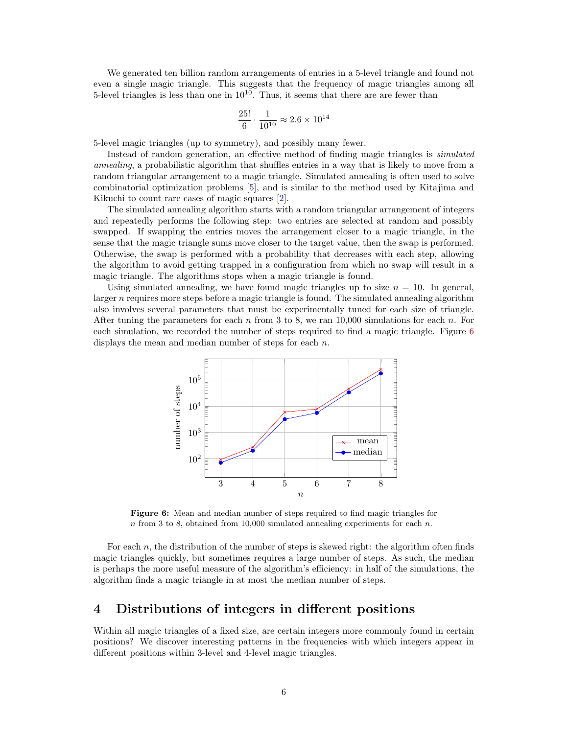We generated ten billion random arrangements of entries in a 5-level triangle and found not even a single magic triangle. This suggests that the frequency of magic triangles among all 5-level triangles is less than one in  $10^{10}$ . Thus, it seems that there are are fewer than

$$
\frac{25!}{6} \cdot \frac{1}{10^{10}} \approx 2.6 \times 10^{14}
$$

5-level magic triangles (up to symmetry), and possibly many fewer.

Instead of random generation, an effective method of finding magic triangles is simulated annealing, a probabilistic algorithm that shuffles entries in a way that is likely to move from a random triangular arrangement to a magic triangle. Simulated annealing is often used to solve combinatorial optimization problems [\[5\]](#page-7-5), and is similar to the method used by Kitajima and Kikuchi to count rare cases of magic squares [\[2\]](#page-7-6).

The simulated annealing algorithm starts with a random triangular arrangement of integers and repeatedly performs the following step: two entries are selected at random and possibly swapped. If swapping the entries moves the arrangement closer to a magic triangle, in the sense that the magic triangle sums move closer to the target value, then the swap is performed. Otherwise, the swap is performed with a probability that decreases with each step, allowing the algorithm to avoid getting trapped in a configuration from which no swap will result in a magic triangle. The algorithms stops when a magic triangle is found.

Using simulated annealing, we have found magic triangles up to size  $n = 10$ . In general, larger  $n$  requires more steps before a magic triangle is found. The simulated annealing algorithm also involves several parameters that must be experimentally tuned for each size of triangle. After tuning the parameters for each n from 3 to 8, we ran  $10,000$  simulations for each n. For each simulation, we recorded the number of steps required to find a magic triangle. Figure [6](#page-5-0) displays the mean and median number of steps for each n.

<span id="page-5-0"></span>

Figure 6: Mean and median number of steps required to find magic triangles for n from 3 to 8, obtained from 10,000 simulated annealing experiments for each  $n$ .

For each  $n$ , the distribution of the number of steps is skewed right: the algorithm often finds magic triangles quickly, but sometimes requires a large number of steps. As such, the median is perhaps the more useful measure of the algorithm's efficiency: in half of the simulations, the algorithm finds a magic triangle in at most the median number of steps.

### 4 Distributions of integers in different positions

Within all magic triangles of a fixed size, are certain integers more commonly found in certain positions? We discover interesting patterns in the frequencies with which integers appear in different positions within 3-level and 4-level magic triangles.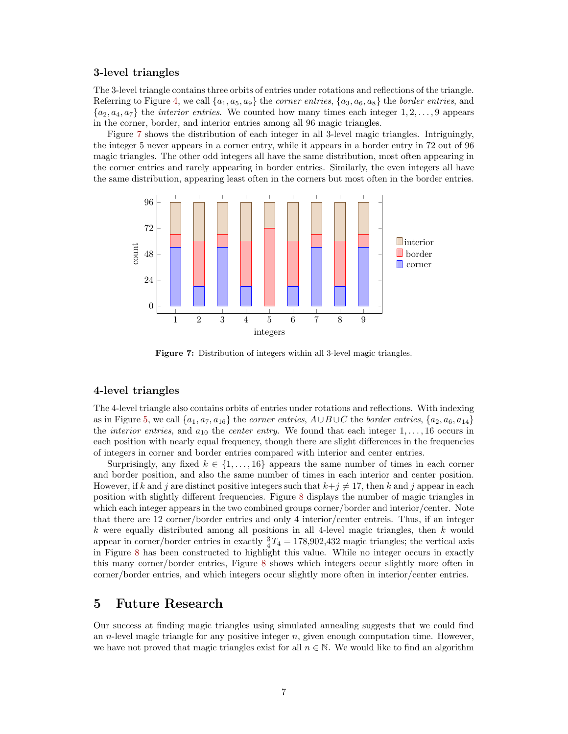#### 3-level triangles

The 3-level triangle contains three orbits of entries under rotations and reflections of the triangle. Referring to Figure [4,](#page-3-1) we call  $\{a_1, a_5, a_9\}$  the *corner entries*,  $\{a_3, a_6, a_8\}$  the *border entries*, and  $\{a_2, a_4, a_7\}$  the *interior entries*. We counted how many times each integer 1, 2, ..., 9 appears in the corner, border, and interior entries among all 96 magic triangles.

Figure [7](#page-6-0) shows the distribution of each integer in all 3-level magic triangles. Intriguingly, the integer 5 never appears in a corner entry, while it appears in a border entry in 72 out of 96 magic triangles. The other odd integers all have the same distribution, most often appearing in the corner entries and rarely appearing in border entries. Similarly, the even integers all have the same distribution, appearing least often in the corners but most often in the border entries.

<span id="page-6-0"></span>

Figure 7: Distribution of integers within all 3-level magic triangles.

#### 4-level triangles

The 4-level triangle also contains orbits of entries under rotations and reflections. With indexing as in Figure [5,](#page-4-0) we call  $\{a_1, a_7, a_{16}\}$  the corner entries,  $A \cup B \cup C$  the border entries,  $\{a_2, a_6, a_{14}\}$ the *interior entries*, and  $a_{10}$  the *center entry*. We found that each integer  $1, \ldots, 16$  occurs in each position with nearly equal frequency, though there are slight differences in the frequencies of integers in corner and border entries compared with interior and center entries.

Surprisingly, any fixed  $k \in \{1, \ldots, 16\}$  appears the same number of times in each corner and border position, and also the same number of times in each interior and center position. However, if k and j are distinct positive integers such that  $k+j\neq 17$ , then k and j appear in each position with slightly different frequencies. Figure [8](#page-7-7) displays the number of magic triangles in which each integer appears in the two combined groups corner/border and interior/center. Note that there are 12 corner/border entries and only 4 interior/center entreis. Thus, if an integer k were equally distributed among all positions in all 4-level magic triangles, then  $k$  would appear in corner/border entries in exactly  $\frac{3}{4}T_4 = 178,902,432$  magic triangles; the vertical axis in Figure [8](#page-7-7) has been constructed to highlight this value. While no integer occurs in exactly this many corner/border entries, Figure [8](#page-7-7) shows which integers occur slightly more often in corner/border entries, and which integers occur slightly more often in interior/center entries.

### 5 Future Research

Our success at finding magic triangles using simulated annealing suggests that we could find an *n*-level magic triangle for any positive integer  $n$ , given enough computation time. However, we have not proved that magic triangles exist for all  $n \in \mathbb{N}$ . We would like to find an algorithm